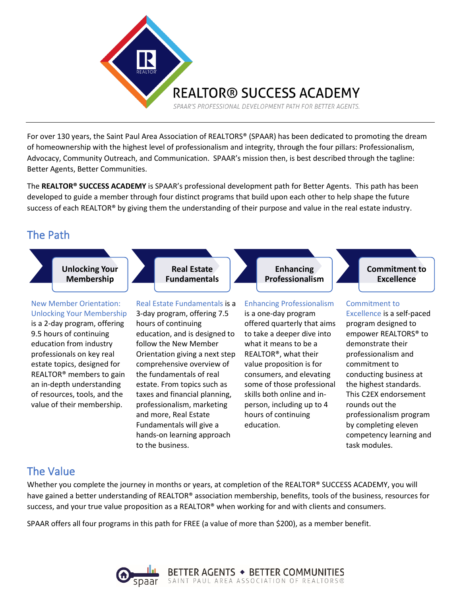

For over 130 years, the Saint Paul Area Association of REALTORS® (SPAAR) has been dedicated to promoting the dream of homeownership with the highest level of professionalism and integrity, through the four pillars: Professionalism, Advocacy, Community Outreach, and Communication. SPAAR's mission then, is best described through the tagline: Better Agents, Better Communities.

The **REALTOR® SUCCESS ACADEMY** is SPAAR's professional development path for Better Agents. This path has been developed to guide a member through four distinct programs that build upon each other to help shape the future success of each REALTOR® by giving them the understanding of their purpose and value in the real estate industry.

## The Path



## The Value

Whether you complete the journey in months or years, at completion of the REALTOR® SUCCESS ACADEMY, you will have gained a better understanding of REALTOR® association membership, benefits, tools of the business, resources for success, and your true value proposition as a REALTOR® when working for and with clients and consumers.

task modules.

SPAAR offers all four programs in this path for FREE (a value of more than \$200), as a member benefit.

to the business.